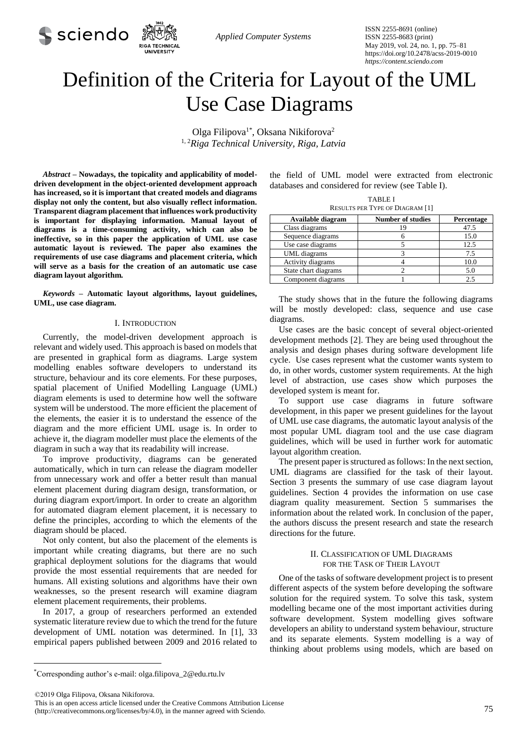

*Applied Computer Systems*

ISSN 2255-8691 (online) ISSN 2255-8683 (print) May 2019, vol. 24, no. 1, pp. 75–81 https://doi.org/10.2478/acss-2019-0010 *https://content.sciendo.com*

# Definition of the Criteria for Layout of the UML Use Case Diagrams

Olga Filipova<sup>1\*</sup>, Oksana Nikiforova<sup>2</sup> 1, <sup>2</sup>*Riga Technical University, Riga, Latvia*

*Abstract –* **Nowadays, the topicality and applicability of modeldriven development in the object-oriented development approach has increased, so it is important that created models and diagrams display not only the content, but also visually reflect information. Transparent diagram placement that influences work productivity is important for displaying information. Manual layout of diagrams is a time-consuming activity, which can also be ineffective, so in this paper the application of UML use case automatic layout is reviewed. The paper also examines the requirements of use case diagrams and placement criteria, which will serve as a basis for the creation of an automatic use case diagram layout algorithm***.*

*Keywords –* **Automatic layout algorithms, layout guidelines, UML, use case diagram.** 

## I. INTRODUCTION

Currently, the model-driven development approach is relevant and widely used. This approach is based on models that are presented in graphical form as diagrams. Large system modelling enables software developers to understand its structure, behaviour and its core elements. For these purposes, spatial placement of Unified Modelling Language (UML) diagram elements is used to determine how well the software system will be understood. The more efficient the placement of the elements, the easier it is to understand the essence of the diagram and the more efficient UML usage is. In order to achieve it, the diagram modeller must place the elements of the diagram in such a way that its readability will increase.

To improve productivity, diagrams can be generated automatically, which in turn can release the diagram modeller from unnecessary work and offer a better result than manual element placement during diagram design, transformation, or during diagram export/import. In order to create an algorithm for automated diagram element placement, it is necessary to define the principles, according to which the elements of the diagram should be placed.

Not only content, but also the placement of the elements is important while creating diagrams, but there are no such graphical deployment solutions for the diagrams that would provide the most essential requirements that are needed for humans. All existing solutions and algorithms have their own weaknesses, so the present research will examine diagram element placement requirements, their problems.

In 2017, a group of researchers performed an extended systematic literature review due to which the trend for the future development of UML notation was determined. In [1], 33 empirical papers published between 2009 and 2016 related to

the field of UML model were extracted from electronic databases and considered for review (see Table I).

| <b>TABLE I</b>                         |  |
|----------------------------------------|--|
| <b>RESULTS PER TYPE OF DIAGRAM [1]</b> |  |

| Available diagram    | <b>Number of studies</b> | Percentage |
|----------------------|--------------------------|------------|
| Class diagrams       |                          | 47.5       |
| Sequence diagrams    |                          | 15.0       |
| Use case diagrams    |                          | 12.5       |
| UML diagrams         |                          | 7.5        |
| Activity diagrams    |                          | 10.0       |
| State chart diagrams |                          | 5.0        |
| Component diagrams   |                          |            |

The study shows that in the future the following diagrams will be mostly developed: class, sequence and use case diagrams.

Use cases are the basic concept of several object-oriented development methods [2]. They are being used throughout the analysis and design phases during software development life cycle. Use cases represent what the customer wants system to do, in other words, customer system requirements. At the high level of abstraction, use cases show which purposes the developed system is meant for.

To support use case diagrams in future software development, in this paper we present guidelines for the layout of UML use case diagrams, the automatic layout analysis of the most popular UML diagram tool and the use case diagram guidelines, which will be used in further work for automatic layout algorithm creation.

The present paper is structured as follows: In the next section, UML diagrams are classified for the task of their layout. Section 3 presents the summary of use case diagram layout guidelines. Section 4 provides the information on use case diagram quality measurement. Section 5 summarises the information about the related work. In conclusion of the paper, the authors discuss the present research and state the research directions for the future.

# II. CLASSIFICATION OF UML DIAGRAMS FOR THE TASK OF THEIR LAYOUT

One of the tasks of software development project is to present different aspects of the system before developing the software solution for the required system. To solve this task, system modelling became one of the most important activities during software development. System modelling gives software developers an ability to understand system behaviour, structure and its separate elements. System modelling is a way of thinking about problems using models, which are based on

©2019 Olga Filipova, Oksana Nikiforova.

1

This is an open access article licensed under the Creative Commons Attribution License

<sup>\*</sup>Corresponding author's e-mail: olga.filipova\_2@edu.rtu.lv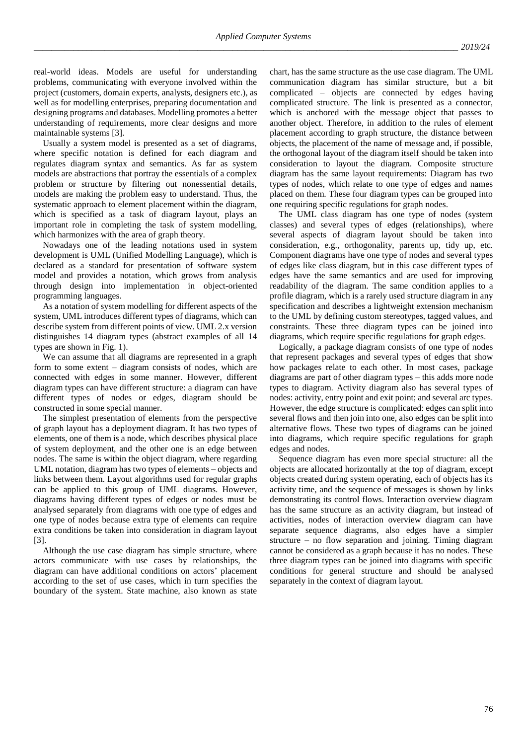real-world ideas. Models are useful for understanding problems, communicating with everyone involved within the project (customers, domain experts, analysts, designers etc.), as well as for modelling enterprises, preparing documentation and designing programs and databases. Modelling promotes a better understanding of requirements, more clear designs and more maintainable systems [3].

Usually a system model is presented as a set of diagrams, where specific notation is defined for each diagram and regulates diagram syntax and semantics. As far as system models are abstractions that portray the essentials of a complex problem or structure by filtering out nonessential details, models are making the problem easy to understand. Thus, the systematic approach to element placement within the diagram, which is specified as a task of diagram layout, plays an important role in completing the task of system modelling, which harmonizes with the area of graph theory.

Nowadays one of the leading notations used in system development is UML (Unified Modelling Language), which is declared as a standard for presentation of software system model and provides a notation, which grows from analysis through design into implementation in object-oriented programming languages.

As a notation of system modelling for different aspects of the system, UML introduces different types of diagrams, which can describe system from different points of view. UML 2.x version distinguishes 14 diagram types (abstract examples of all 14 types are shown in Fig. 1).

We can assume that all diagrams are represented in a graph form to some extent – diagram consists of nodes, which are connected with edges in some manner. However, different diagram types can have different structure: a diagram can have different types of nodes or edges, diagram should be constructed in some special manner.

The simplest presentation of elements from the perspective of graph layout has a deployment diagram. It has two types of elements, one of them is a node, which describes physical place of system deployment, and the other one is an edge between nodes. The same is within the object diagram, where regarding UML notation, diagram has two types of elements – objects and links between them. Layout algorithms used for regular graphs can be applied to this group of UML diagrams. However, diagrams having different types of edges or nodes must be analysed separately from diagrams with one type of edges and one type of nodes because extra type of elements can require extra conditions be taken into consideration in diagram layout [3].

Although the use case diagram has simple structure, where actors communicate with use cases by relationships, the diagram can have additional conditions on actors' placement according to the set of use cases, which in turn specifies the boundary of the system. State machine, also known as state chart, has the same structure as the use case diagram. The UML communication diagram has similar structure, but a bit complicated – objects are connected by edges having complicated structure. The link is presented as a connector, which is anchored with the message object that passes to another object. Therefore, in addition to the rules of element placement according to graph structure, the distance between objects, the placement of the name of message and, if possible, the orthogonal layout of the diagram itself should be taken into consideration to layout the diagram. Composite structure diagram has the same layout requirements: Diagram has two types of nodes, which relate to one type of edges and names placed on them. These four diagram types can be grouped into one requiring specific regulations for graph nodes.

The UML class diagram has one type of nodes (system classes) and several types of edges (relationships), where several aspects of diagram layout should be taken into consideration, e.g., orthogonality, parents up, tidy up, etc. Component diagrams have one type of nodes and several types of edges like class diagram, but in this case different types of edges have the same semantics and are used for improving readability of the diagram. The same condition applies to a profile diagram, which is a rarely used structure diagram in any specification and describes a lightweight extension mechanism to the UML by defining custom stereotypes, tagged values, and constraints. These three diagram types can be joined into diagrams, which require specific regulations for graph edges.

Logically, a package diagram consists of one type of nodes that represent packages and several types of edges that show how packages relate to each other. In most cases, package diagrams are part of other diagram types – this adds more node types to diagram. Activity diagram also has several types of nodes: activity, entry point and exit point; and several arc types. However, the edge structure is complicated: edges can split into several flows and then join into one, also edges can be split into alternative flows. These two types of diagrams can be joined into diagrams, which require specific regulations for graph edges and nodes.

Sequence diagram has even more special structure: all the objects are allocated horizontally at the top of diagram, except objects created during system operating, each of objects has its activity time, and the sequence of messages is shown by links demonstrating its control flows. Interaction overview diagram has the same structure as an activity diagram, but instead of activities, nodes of interaction overview diagram can have separate sequence diagrams, also edges have a simpler structure – no flow separation and joining. Timing diagram cannot be considered as a graph because it has no nodes. These three diagram types can be joined into diagrams with specific conditions for general structure and should be analysed separately in the context of diagram layout.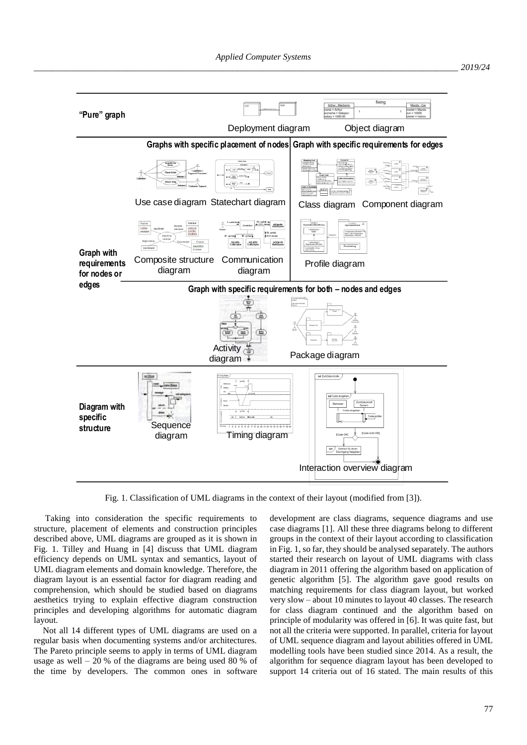

Fig. 1. Classification of UML diagrams in the context of their layout (modified from [3]).

Taking into consideration the specific requirements to structure, placement of elements and construction principles described above, UML diagrams are grouped as it is shown in Fig. 1. Tilley and Huang in [4] discuss that UML diagram efficiency depends on UML syntax and semantics, layout of UML diagram elements and domain knowledge. Therefore, the diagram layout is an essential factor for diagram reading and comprehension, which should be studied based on diagrams aesthetics trying to explain effective diagram construction principles and developing algorithms for automatic diagram layout.

Not all 14 different types of UML diagrams are used on a regular basis when documenting systems and/or architectures. The Pareto principle seems to apply in terms of UML diagram usage as well  $-20\%$  of the diagrams are being used 80 % of the time by developers. The common ones in software development are class diagrams, sequence diagrams and use case diagrams [1]. All these three diagrams belong to different groups in the context of their layout according to classification in Fig. 1, so far, they should be analysed separately. The authors started their research on layout of UML diagrams with class diagram in 2011 offering the algorithm based on application of genetic algorithm [5]. The algorithm gave good results on matching requirements for class diagram layout, but worked very slow – about 10 minutes to layout 40 classes. The research for class diagram continued and the algorithm based on principle of modularity was offered in [6]. It was quite fast, but not all the criteria were supported. In parallel, criteria for layout of UML sequence diagram and layout abilities offered in UML modelling tools have been studied since 2014. As a result, the algorithm for sequence diagram layout has been developed to support 14 criteria out of 16 stated. The main results of this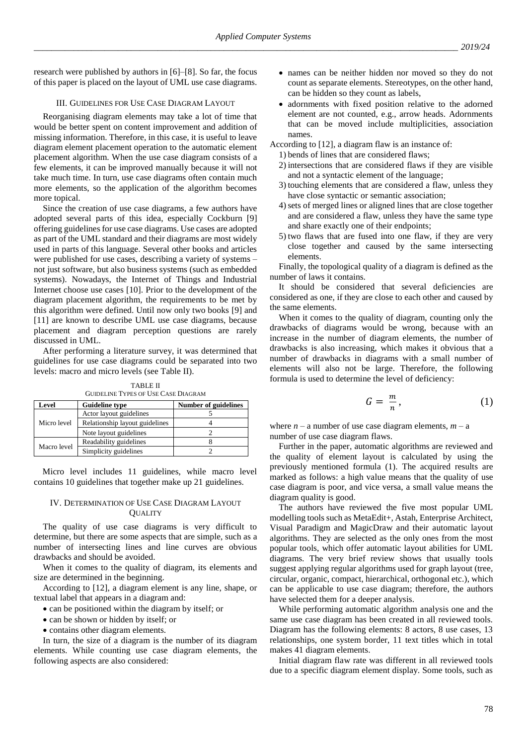research were published by authors in [6]–[8]. So far, the focus of this paper is placed on the layout of UML use case diagrams.

# III. GUIDELINES FOR USE CASE DIAGRAM LAYOUT

Reorganising diagram elements may take a lot of time that would be better spent on content improvement and addition of missing information. Therefore, in this case, it is useful to leave diagram element placement operation to the automatic element placement algorithm. When the use case diagram consists of a few elements, it can be improved manually because it will not take much time. In turn, use case diagrams often contain much more elements, so the application of the algorithm becomes more topical.

Since the creation of use case diagrams, a few authors have adopted several parts of this idea, especially Cockburn [9] offering guidelines for use case diagrams. Use cases are adopted as part of the UML standard and their diagrams are most widely used in parts of this language. Several other books and articles were published for use cases, describing a variety of systems – not just software, but also business systems (such as embedded systems). Nowadays, the Internet of Things and Industrial Internet choose use cases [10]. Prior to the development of the diagram placement algorithm, the requirements to be met by this algorithm were defined. Until now only two books [9] and [11] are known to describe UML use case diagrams, because placement and diagram perception questions are rarely discussed in UML.

After performing a literature survey, it was determined that guidelines for use case diagrams could be separated into two levels: macro and micro levels (see Table II).

TABLE II GUIDELINE TYPES OF USE CASE DIAGRAM

| Level       | <b>Guideline type</b>          | <b>Number of guidelines</b> |
|-------------|--------------------------------|-----------------------------|
| Micro level | Actor layout guidelines        |                             |
|             | Relationship layout guidelines |                             |
|             | Note layout guidelines         |                             |
| Macro level | Readability guidelines         |                             |
|             | Simplicity guidelines          |                             |

Micro level includes 11 guidelines, while macro level contains 10 guidelines that together make up 21 guidelines.

# IV. DETERMINATION OF USE CASE DIAGRAM LAYOUT **QUALITY**

The quality of use case diagrams is very difficult to determine, but there are some aspects that are simple, such as a number of intersecting lines and line curves are obvious drawbacks and should be avoided.

When it comes to the quality of diagram, its elements and size are determined in the beginning.

According to [12], a diagram element is any line, shape, or textual label that appears in a diagram and:

- can be positioned within the diagram by itself; or
- can be shown or hidden by itself; or
- contains other diagram elements.

In turn, the size of a diagram is the number of its diagram elements. While counting use case diagram elements, the following aspects are also considered:

- names can be neither hidden nor moved so they do not count as separate elements. Stereotypes, on the other hand, can be hidden so they count as labels,
- adornments with fixed position relative to the adorned element are not counted, e.g., arrow heads. Adornments that can be moved include multiplicities, association names.

According to [12], a diagram flaw is an instance of:

- 1) bends of lines that are considered flaws;
- 2) intersections that are considered flaws if they are visible and not a syntactic element of the language;
- 3) touching elements that are considered a flaw, unless they have close syntactic or semantic association;
- 4)sets of merged lines or aligned lines that are close together and are considered a flaw, unless they have the same type and share exactly one of their endpoints;
- 5) two flaws that are fused into one flaw, if they are very close together and caused by the same intersecting elements.

Finally, the topological quality of a diagram is defined as the number of laws it contains.

It should be considered that several deficiencies are considered as one, if they are close to each other and caused by the same elements.

When it comes to the quality of diagram, counting only the drawbacks of diagrams would be wrong, because with an increase in the number of diagram elements, the number of drawbacks is also increasing, which makes it obvious that a number of drawbacks in diagrams with a small number of elements will also not be large. Therefore, the following formula is used to determine the level of deficiency:

$$
G = \frac{m}{n},\tag{1}
$$

where  $n - a$  number of use case diagram elements,  $m - a$ number of use case diagram flaws.

Further in the paper, automatic algorithms are reviewed and the quality of element layout is calculated by using the previously mentioned formula (1). The acquired results are marked as follows: a high value means that the quality of use case diagram is poor, and vice versa, a small value means the diagram quality is good.

The authors have reviewed the five most popular UML modelling tools such as MetaEdit+, Astah, Enterprise Architect, Visual Paradigm and MagicDraw and their automatic layout algorithms. They are selected as the only ones from the most popular tools, which offer automatic layout abilities for UML diagrams. The very brief review shows that usually tools suggest applying regular algorithms used for graph layout (tree, circular, organic, compact, hierarchical, orthogonal etc.), which can be applicable to use case diagram; therefore, the authors have selected them for a deeper analysis.

While performing automatic algorithm analysis one and the same use case diagram has been created in all reviewed tools. Diagram has the following elements: 8 actors, 8 use cases, 13 relationships, one system border, 11 text titles which in total makes 41 diagram elements.

Initial diagram flaw rate was different in all reviewed tools due to a specific diagram element display. Some tools, such as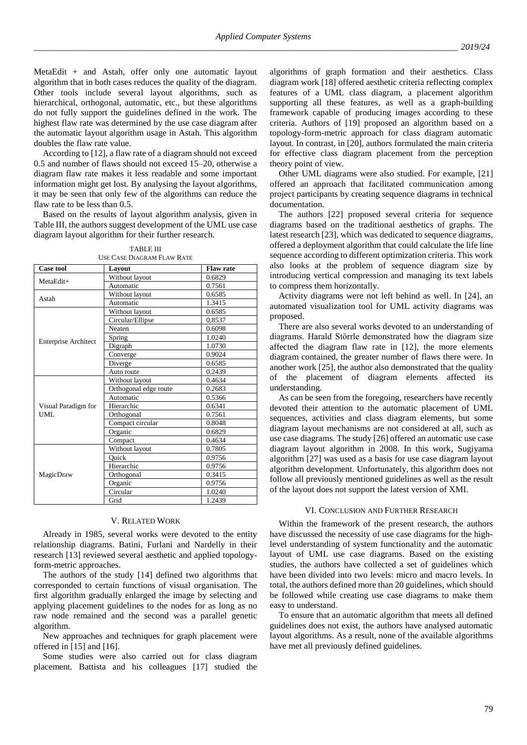MetaEdit + and Astah, offer only one automatic layout algorithm that in both cases reduces the quality of the diagram. Other tools include several layout algorithms, such as hierarchical, orthogonal, automatic, etc., but these algorithms do not fully support the guidelines defined in the work. The highest flaw rate was determined by the use case diagram after the automatic layout algorithm usage in Astah. This algorithm doubles the flaw rate value.

According to [12], a flaw rate of a diagram should not exceed 0.5 and number of flaws should not exceed 15–20, otherwise a diagram flaw rate makes it less readable and some important information might get lost. By analysing the layout algorithms, it may be seen that only few of the algorithms can reduce the flaw rate to be less than 0.5.

Based on the results of layout algorithm analysis, given in Table III, the authors suggest development of the UML use case diagram layout algorithm for their further research.

| <b>TABLE III</b>                  |
|-----------------------------------|
| <b>USE CASE DIAGRAM FLAW RATE</b> |

| <b>Case tool</b>            | Lavout                | <b>Flaw rate</b> |
|-----------------------------|-----------------------|------------------|
| MetaEdit+                   | Without layout        | 0.6829           |
|                             | Automatic             | 0.7561           |
| Astah                       | Without layout        | 0.6585           |
|                             | Automatic             | 1.3415           |
|                             | Without layout        | 0.6585           |
|                             | Circular/Ellipse      | 0.8537           |
|                             | Neaten                | 0.6098           |
|                             | Spring                | 1.0240           |
| <b>Enterprise Architect</b> | Digraph               | 1.0730           |
|                             | Converge              | 0.9024           |
|                             | Diverge               | 0.6585           |
|                             | Auto route            | 0.2439           |
|                             | Without layout        | 0.4634           |
|                             | Orthogonal edge route | 0.2683           |
|                             | Automatic             | 0.5366           |
| Visual Paradigm for         | Hierarchic            | 0.6341           |
| UML.                        | Orthogonal            | 0.7561           |
|                             | Compact circular      | 0.8048           |
|                             | Organic               | 0.6829           |
|                             | Compact               | 0.4634           |
|                             | Without layout        | 0.7805           |
|                             | Ouick                 | 0.9756           |
|                             | Hierarchic            | 0.9756           |
| MagicDraw                   | Orthogonal            | 0.3415           |
|                             | Organic               | 0.9756           |
|                             | Circular              | 1.0240           |
|                             | Grid                  | 1.2439           |

## V. RELATED WORK

Already in 1985, several works were devoted to the entity relationship diagrams. Batini, Furlani and Nardelly in their research [13] reviewed several aesthetic and applied topologyform-metric approaches.

The authors of the study [14] defined two algorithms that corresponded to certain functions of visual organisation. The first algorithm gradually enlarged the image by selecting and applying placement guidelines to the nodes for as long as no raw node remained and the second was a parallel genetic algorithm.

New approaches and techniques for graph placement were offered in [15] and [16].

Some studies were also carried out for class diagram placement. Battista and his colleagues [17] studied the

algorithms of graph formation and their aesthetics. Class diagram work [18] offered aesthetic criteria reflecting complex features of a UML class diagram, a placement algorithm supporting all these features, as well as a graph-building framework capable of producing images according to these criteria. Authors of [19] proposed an algorithm based on a topology-form-metric approach for class diagram automatic layout. In contrast, in [20], authors formulated the main criteria for effective class diagram placement from the perception theory point of view.

Other UML diagrams were also studied. For example, [21] offered an approach that facilitated communication among project participants by creating sequence diagrams in technical documentation.

The authors [22] proposed several criteria for sequence diagrams based on the traditional aesthetics of graphs. The latest research [23], which was dedicated to sequence diagrams, offered a deployment algorithm that could calculate the life line sequence according to different optimization criteria. This work also looks at the problem of sequence diagram size by introducing vertical compression and managing its text labels to compress them horizontally.

Activity diagrams were not left behind as well. In [24], an automated visualization tool for UML activity diagrams was proposed.

There are also several works devoted to an understanding of diagrams. Harald Störrle demonstrated how the diagram size affected the diagram flaw rate in [12], the more elements diagram contained, the greater number of flaws there were. In another work [25], the author also demonstrated that the quality of the placement of diagram elements affected its understanding.

As can be seen from the foregoing, researchers have recently devoted their attention to the automatic placement of UML sequences, activities and class diagram elements, but some diagram layout mechanisms are not considered at all, such as use case diagrams. The study [26] offered an automatic use case diagram layout algorithm in 2008. In this work, Sugiyama algorithm [27] was used as a basis for use case diagram layout algorithm development. Unfortunately, this algorithm does not follow all previously mentioned guidelines as well as the result of the layout does not support the latest version of XMI.

## VI. CONCLUSION AND FURTHER RESEARCH

Within the framework of the present research, the authors have discussed the necessity of use case diagrams for the highlevel understanding of system functionality and the automatic layout of UML use case diagrams. Based on the existing studies, the authors have collected a set of guidelines which have been divided into two levels: micro and macro levels. In total, the authors defined more than 20 guidelines, which should be followed while creating use case diagrams to make them easy to understand.

To ensure that an automatic algorithm that meets all defined guidelines does not exist, the authors have analysed automatic layout algorithms. As a result, none of the available algorithms have met all previously defined guidelines.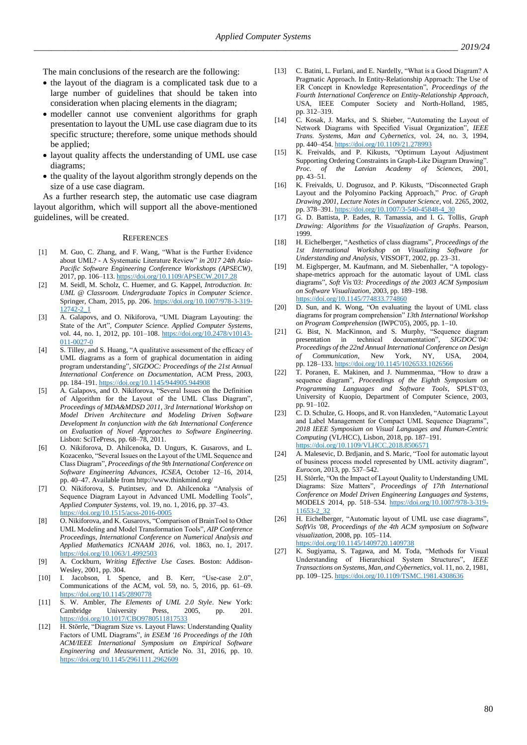The main conclusions of the research are the following:

- the layout of the diagram is a complicated task due to a large number of guidelines that should be taken into consideration when placing elements in the diagram;
- modeller cannot use convenient algorithms for graph presentation to layout the UML use case diagram due to its specific structure; therefore, some unique methods should be applied;
- layout quality affects the understanding of UML use case diagrams;
- the quality of the layout algorithm strongly depends on the size of a use case diagram.

As a further research step, the automatic use case diagram layout algorithm, which will support all the above-mentioned guidelines, will be created.

#### **REFERENCES**

- [1] M. Guo, C. Zhang, and F. Wang, "What is the Further Evidence about UML? - A Systematic Literature Review" *in 2017 24th Asia-Pacific Software Engineering Conference Workshops (APSECW)*, 2017, pp. 106–113. <https://doi.org/10.1109/APSECW.2017.28>
- [2] M. Seidl, M. Scholz, C. Huemer, and G. Kappel, *Introduction. In: UML @ Classroom. Undergraduate Topics in Computer Science*. Springer, Cham, 2015, pp. 206[. https://doi.org/10.1007/978-3-319-](https://doi.org/10.1007/978-3-319-12742-2_1) [12742-2\\_1](https://doi.org/10.1007/978-3-319-12742-2_1)
- [3] A. Galapovs, and O. Nikiforova, "UML Diagram Layouting: the State of the Art", *Computer Science. Applied Computer Systems*, vol. 44, no. 1, 2012, pp. 101–108. [https://doi.org/10.2478/v10143-](https://doi.org/10.2478/v10143-011-0027-0) [011-0027-0](https://doi.org/10.2478/v10143-011-0027-0)
- [4] S. Tilley, and S. Huang, "A qualitative assessment of the efficacy of UML diagrams as a form of graphical documentation in aiding program understanding", *SIGDOC: Proceedings of the 21st Annual International Conference on Documentation*, ACM Press, 2003, pp. 184–191.<https://doi.org/10.1145/944905.944908>
- [5] A. Galapovs, and O. Nikiforova, "Several Issues on the Definition of Algorithm for the Layout of the UML Class Diagram", *Proceedings of MDA&MDSD 2011, 3rd International Workshop on Model Driven Architecture and Modeling Driven Software Development In conjunction with the 6th International Conference on Evaluation of Novel Approaches to Software Engineering*. Lisbon: SciTePress, pp. 68–78, 2011.
- [6] O. Nikiforova, D. Ahilcenoka, D. Ungurs, K. Gusarovs, and L. Kozacenko, "Several Issues on the Layout of the UML Sequence and Class Diagram", *Proceedings of the 9th International Conference on Software Engineering Advances*, *ICSEA*, October 12–16, 2014, pp. 40–47. Available from http://www.thinkmind.org/
- [7] O. Nikiforova, S. Putintsev, and D. Ahilcenoka "Analysis of Sequence Diagram Layout in Advanced UML Modelling Tools", *Applied Computer Systems*, vol. 19, no. 1, 2016, pp. 37–43. <https://doi.org/10.1515/acss-2016-0005>
- [8] O. Nikiforova, and K. Gusarovs, "Comparison of BrainTool to Other UML Modeling and Model Transformation Tools", *AIP Conference Proceedings, International Conference on Numerical Analysis and Applied Mathematics ICNAAM 2016*, vol. 1863, no. 1, 2017. <https://doi.org/10.1063/1.4992503>
- [9] A. Cockburn, *Writing Effective Use Cases.* Boston: Addison-Wesley, 2001, pp. 304.
- [10] I. Jacobson, I. Spence, and B. Kerr, "Use-case 2.0", Communications of the ACM, vol. 59, no. 5, 2016, pp. 61–69. <https://doi.org/10.1145/2890778>
- [11] S. W. Ambler, *The Elements of UML 2.0 Style*. New York: Cambridge University Press, 2005, pp. <https://doi.org/10.1017/CBO9780511817533>
- [12] H. Störrle, "Diagram Size vs. Layout Flaws: Understanding Quality Factors of UML Diagrams", *in ESEM '16 Proceedings of the 10th ACM/IEEE International Symposium on Empirical Software Engineering and Measurement,* Article No. 31, 2016, pp. 10. <https://doi.org/10.1145/2961111.2962609>
- [13] C. Batini, L. Furlani, and E. Nardelly, "What is a Good Diagram? A Pragmatic Approach. In Entity-Relationship Approach: The Use of ER Concept in Knowledge Representation", *Proceedings of the Fourth International Conference on Entity-Relationship Approach*, USA, IEEE Computer Society and North-Holland, 1985, pp. 312–319.
- [14] C. Kosak, J. Marks, and S. Shieber, "Automating the Layout of Network Diagrams with Specified Visual Organization", *IEEE Trans. Systems, Man and Cybernetics*, vol. 24, no. 3, 1994, pp. 440–454[. https://doi.org/10.1109/21.278993](https://doi.org/10.1109/21.278993)
- [15] K. Freivalds, and P. Kikusts, "Optimum Layout Adjustment Supporting Ordering Constraints in Graph-Like Diagram Drawing". *Proc. of the Latvian Academy of Sciences*, 2001, pp. 43–51.
- [16] K. Freivalds, U. Dogrusoz, and P. Kikusts, "Disconnected Graph Layout and the Polyomino Packing Approach," *Proc. of Graph Drawing 2001, Lecture Notes in Computer Science*, vol. 2265, 2002, pp. 378–391[. https://doi.org/10.1007/3-540-45848-4\\_30](https://doi.org/10.1007/3-540-45848-4_30)
- [17] G. D. Battista, P. Eades, R. Tamassia, and I. G. Tollis, *Graph Drawing: Algorithms for the Visualization of Graphs*. Pearson, 1999.
- [18] H. Eichelberger, "Aesthetics of class diagrams", *Proceedings of the 1st International Workshop on Visualizing Software for Understanding and Analysis,* VISSOFT, 2002, pp. 23–31.
- [19] M. Eiglsperger, M. Kaufmann, and M. Siebenhaller, "A topologyshape-metrics approach for the automatic layout of UML class diagrams", *Soft Vis'03: Proceedings of the 2003 ACM Symposium on Software Visualization*, 2003, pp. 189–198. <https://doi.org/10.1145/774833.774860>
- [20] D. Sun, and K. Wong, "On evaluating the layout of UML class diagrams for program comprehension" *13th International Workshop on Program Comprehension* (IWPC'05), 2005, pp. 1–10.
- [21] G. Bist, N. MacKinnon, and S. Murphy, "Sequence diagram presentation in technical documentation", *SIGDOC*<sup>'04</sup>: *Proceedings of the 22nd Annual International Conference on Design of Communication*, New York, NY, USA, 2004, pp. 128–133[. https://doi.org/10.1145/1026533.1026566](https://doi.org/10.1145/1026533.1026566)
- [22] T. Poranen, E. Makinen, and J. Nummenmaa, "How to draw a sequence diagram", *Proceedings of the Eighth Symposium on Programming Languages and Software Tools*, SPLST'03, University of Kuopio, Department of Computer Science, 2003, pp. 91–102.
- [23] C. D. Schulze, G. Hoops, and R. von Hanxleden, "Automatic Layout and Label Management for Compact UML Sequence Diagrams", *2018 IEEE Symposium on Visual Languages and Human-Centric Computing* (VL/HCC), Lisbon, 2018, pp. 187–191. <https://doi.org/10.1109/VLHCC.2018.8506571>
- [24] A. Malesevic, D. Brdjanin, and S. Maric, "Tool for automatic layout of business process model represented by UML activity diagram", *Eurocon*, 2013, pp. 537–542.
- [25] H. Störrle, "On the Impact of Layout Quality to Understanding UML Diagrams: Size Matters", *Proceedings of 17th International Conference on Model Driven Engineering Languages and Systems*, MODELS 2014, pp. 518–534. [https://doi.org/10.1007/978-3-319-](https://doi.org/10.1007/978-3-319-11653-2_32) [11653-2\\_32](https://doi.org/10.1007/978-3-319-11653-2_32)
- [26] H. Eichelberger, "Automatic layout of UML use case diagrams", *SoftVis '08, Proceedings of the 4th ACM symposium on Software visualization*, 2008, pp. 105–114. <https://doi.org/10.1145/1409720.1409738>
- [27] K. Sugiyama, S. Tagawa, and M. Toda, "Methods for Visual Understanding of Hierarchical System Structures", *IEEE Transactions on Systems, Man, and Cybernetics*, vol. 11, no. 2, 1981, pp. 109–125[. https://doi.org/10.1109/TSMC.1981.4308636](https://doi.org/10.1109/TSMC.1981.4308636)